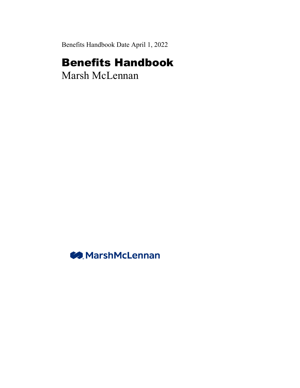Benefits Handbook Date April 1, 2022

## Benefits Handbook

Marsh McLennan

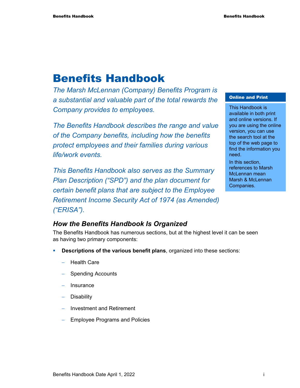## Benefits Handbook

*The Marsh McLennan (Company) Benefits Program is a substantial and valuable part of the total rewards the Company provides to employees.* 

*The Benefits Handbook describes the range and value of the Company benefits, including how the benefits protect employees and their families during various life/work events.* 

*This Benefits Handbook also serves as the Summary Plan Description ("SPD") and the plan document for certain benefit plans that are subject to the Employee Retirement Income Security Act of 1974 (as Amended) ("ERISA").* 

## Online and Print

This Handbook is available in both print and online versions. If you are using the online version, you can use the search tool at the top of the web page to find the information you need.

In this section, references to Marsh McLennan mean Marsh & McLennan Companies.

## *How the Benefits Handbook Is Organized*

The Benefits Handbook has numerous sections, but at the highest level it can be seen as having two primary components:

- **Descriptions of the various benefit plans**, organized into these sections:
	- − Health Care
	- − Spending Accounts
	- − Insurance
	- − Disability
	- − Investment and Retirement
	- Employee Programs and Policies